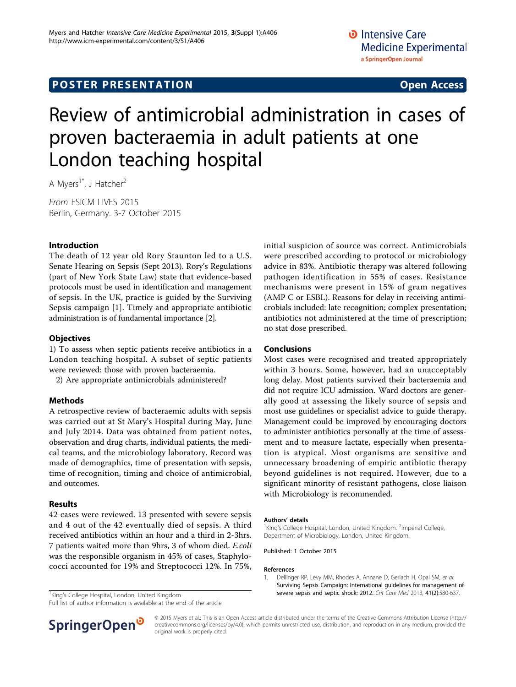# **POSTER PRESENTATION CONSUMING ACCESS**

# Review of antimicrobial administration in cases of proven bacteraemia in adult patients at one London teaching hospital

A Mvers<sup>1\*</sup>, J Hatcher<sup>2</sup>

From ESICM LIVES 2015 Berlin, Germany. 3-7 October 2015

## Introduction

The death of 12 year old Rory Staunton led to a U.S. Senate Hearing on Sepsis (Sept 2013). Rory's Regulations (part of New York State Law) state that evidence-based protocols must be used in identification and management of sepsis. In the UK, practice is guided by the Surviving Sepsis campaign [1]. Timely and appropriate antibiotic administration is of fundamental importance [\[2](#page-1-0)].

### **Objectives**

1) To assess when septic patients receive antibiotics in a London teaching hospital. A subset of septic patients were reviewed: those with proven bacteraemia.

2) Are appropriate antimicrobials administered?

#### Methods

A retrospective review of bacteraemic adults with sepsis was carried out at St Mary's Hospital during May, June and July 2014. Data was obtained from patient notes, observation and drug charts, individual patients, the medical teams, and the microbiology laboratory. Record was made of demographics, time of presentation with sepsis, time of recognition, timing and choice of antimicrobial, and outcomes.

#### Results

42 cases were reviewed. 13 presented with severe sepsis and 4 out of the 42 eventually died of sepsis. A third received antibiotics within an hour and a third in 2-3hrs. 7 patients waited more than 9hrs, 3 of whom died. E.coli was the responsible organism in 45% of cases, Staphylococci accounted for 19% and Streptococci 12%. In 75%,

Full list of author information is available at the end of the article

initial suspicion of source was correct. Antimicrobials were prescribed according to protocol or microbiology advice in 83%. Antibiotic therapy was altered following pathogen identification in 55% of cases. Resistance mechanisms were present in 15% of gram negatives (AMP C or ESBL). Reasons for delay in receiving antimicrobials included: late recognition; complex presentation; antibiotics not administered at the time of prescription; no stat dose prescribed.

#### Conclusions

Most cases were recognised and treated appropriately within 3 hours. Some, however, had an unacceptably long delay. Most patients survived their bacteraemia and did not require ICU admission. Ward doctors are generally good at assessing the likely source of sepsis and most use guidelines or specialist advice to guide therapy. Management could be improved by encouraging doctors to administer antibiotics personally at the time of assessment and to measure lactate, especially when presentation is atypical. Most organisms are sensitive and unnecessary broadening of empiric antibiotic therapy beyond guidelines is not required. However, due to a significant minority of resistant pathogens, close liaison with Microbiology is recommended.

#### Authors' details <sup>1</sup>

King's College Hospital, London, United Kingdom. <sup>2</sup>Imperial College, Department of Microbiology, London, United Kingdom.

Published: 1 October 2015

#### References

1. Dellinger RP, Levy MM, Rhodes A, Annane D, Gerlach H, Opal SM, et al: [Surviving Sepsis Campaign: International guidelines for management of](http://www.ncbi.nlm.nih.gov/pubmed/23353941?dopt=Abstract) <sup>1</sup>King's College Hospital, London, United Kingdom **Severe Sepsis and septic shock: 2012.** Crit Care Med 2013, 41(2):580-637.



© 2015 Myers et al.; This is an Open Access article distributed under the terms of the Creative Commons Attribution License [\(http://](http://creativecommons.org/licenses/by/4.0) [creativecommons.org/licenses/by/4.0](http://creativecommons.org/licenses/by/4.0)), which permits unrestricted use, distribution, and reproduction in any medium, provided the original work is properly cited.